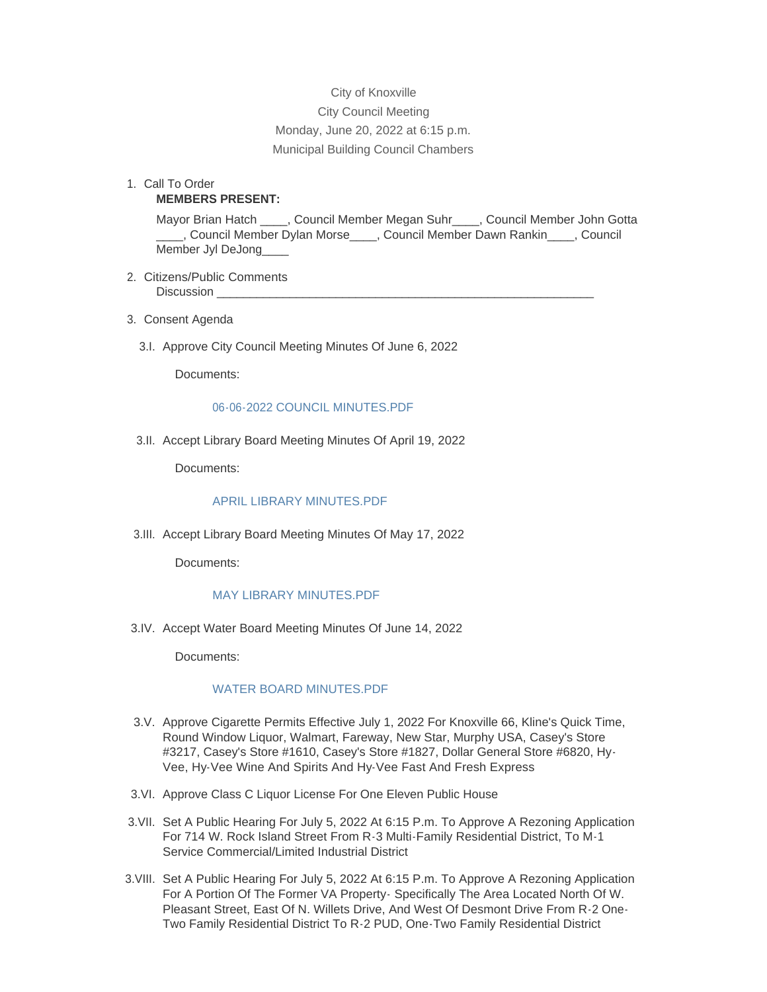City of Knoxville City Council Meeting Monday, June 20, 2022 at 6:15 p.m. Municipal Building Council Chambers

1. Call To Order **MEMBERS PRESENT:**

> Mayor Brian Hatch \_\_\_\_, Council Member Megan Suhr\_\_\_\_, Council Member John Gotta \_\_\_\_, Council Member Dylan Morse\_\_\_\_, Council Member Dawn Rankin\_\_\_\_, Council Member Jyl DeJong\_\_\_\_

- 2. Citizens/Public Comments Discussion
- Consent Agenda 3.
	- 3.I. Approve City Council Meeting Minutes Of June 6, 2022

Documents:

## [06-06-2022 COUNCIL MINUTES.PDF](http://www.knoxvilleia.gov/AgendaCenter/ViewFile/Item/5536?fileID=4490)

3.II. Accept Library Board Meeting Minutes Of April 19, 2022

Documents:

## [APRIL LIBRARY MINUTES.PDF](http://www.knoxvilleia.gov/AgendaCenter/ViewFile/Item/5534?fileID=4488)

3.III. Accept Library Board Meeting Minutes Of May 17, 2022

Documents:

## [MAY LIBRARY MINUTES.PDF](http://www.knoxvilleia.gov/AgendaCenter/ViewFile/Item/5535?fileID=4489)

3.IV. Accept Water Board Meeting Minutes Of June 14, 2022

Documents:

# [WATER BOARD MINUTES.PDF](http://www.knoxvilleia.gov/AgendaCenter/ViewFile/Item/5537?fileID=4491)

- 3.V. Approve Cigarette Permits Effective July 1, 2022 For Knoxville 66, Kline's Quick Time, Round Window Liquor, Walmart, Fareway, New Star, Murphy USA, Casey's Store #3217, Casey's Store #1610, Casey's Store #1827, Dollar General Store #6820, Hy-Vee, Hy-Vee Wine And Spirits And Hy-Vee Fast And Fresh Express
- 3.VI. Approve Class C Liquor License For One Eleven Public House
- 3.VII. Set A Public Hearing For July 5, 2022 At 6:15 P.m. To Approve A Rezoning Application For 714 W. Rock Island Street From R-3 Multi-Family Residential District, To M-1 Service Commercial/Limited Industrial District
- 3. VIII. Set A Public Hearing For July 5, 2022 At 6:15 P.m. To Approve A Rezoning Application For A Portion Of The Former VA Property- Specifically The Area Located North Of W. Pleasant Street, East Of N. Willets Drive, And West Of Desmont Drive From R-2 One-Two Family Residential District To R-2 PUD, One-Two Family Residential District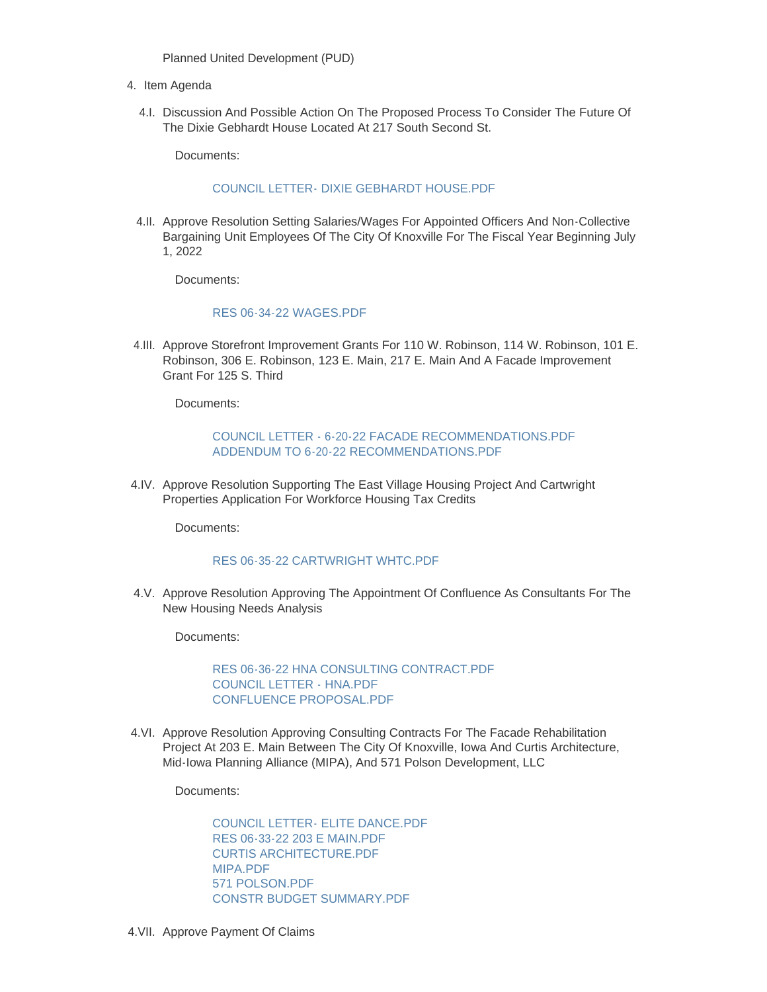Planned United Development (PUD)

- 4. Item Agenda
	- 4.I. Discussion And Possible Action On The Proposed Process To Consider The Future Of The Dixie Gebhardt House Located At 217 South Second St.

Documents:

## [COUNCIL LETTER- DIXIE GEBHARDT HOUSE.PDF](http://www.knoxvilleia.gov/AgendaCenter/ViewFile/Item/5529?fileID=4479)

4.II. Approve Resolution Setting Salaries/Wages For Appointed Officers And Non-Collective Bargaining Unit Employees Of The City Of Knoxville For The Fiscal Year Beginning July 1, 2022

Documents:

#### [RES 06-34-22 WAGES.PDF](http://www.knoxvilleia.gov/AgendaCenter/ViewFile/Item/5540?fileID=4496)

4.III. Approve Storefront Improvement Grants For 110 W. Robinson, 114 W. Robinson, 101 E. Robinson, 306 E. Robinson, 123 E. Main, 217 E. Main And A Facade Improvement Grant For 125 S. Third

Documents:

# [COUNCIL LETTER - 6-20-22 FACADE RECOMMENDATIONS.PDF](http://www.knoxvilleia.gov/AgendaCenter/ViewFile/Item/5530?fileID=4481) [ADDENDUM TO 6-20-22 RECOMMENDATIONS.PDF](http://www.knoxvilleia.gov/AgendaCenter/ViewFile/Item/5530?fileID=4480)

4.IV. Approve Resolution Supporting The East Village Housing Project And Cartwright Properties Application For Workforce Housing Tax Credits

Documents:

## [RES 06-35-22 CARTWRIGHT WHTC.PDF](http://www.knoxvilleia.gov/AgendaCenter/ViewFile/Item/5549?fileID=4497)

4.V. Approve Resolution Approving The Appointment Of Confluence As Consultants For The New Housing Needs Analysis

Documents:

[RES 06-36-22 HNA CONSULTING CONTRACT.PDF](http://www.knoxvilleia.gov/AgendaCenter/ViewFile/Item/5539?fileID=4493) [COUNCIL LETTER - HNA.PDF](http://www.knoxvilleia.gov/AgendaCenter/ViewFile/Item/5539?fileID=4494) [CONFLUENCE PROPOSAL.PDF](http://www.knoxvilleia.gov/AgendaCenter/ViewFile/Item/5539?fileID=4495)

4.VI. Approve Resolution Approving Consulting Contracts For The Facade Rehabilitation Project At 203 E. Main Between The City Of Knoxville, Iowa And Curtis Architecture, Mid-Iowa Planning Alliance (MIPA), And 571 Polson Development, LLC

Documents:

[COUNCIL LETTER- ELITE DANCE.PDF](http://www.knoxvilleia.gov/AgendaCenter/ViewFile/Item/5531?fileID=4484) [RES 06-33-22 203 E MAIN.PDF](http://www.knoxvilleia.gov/AgendaCenter/ViewFile/Item/5531?fileID=4487) [CURTIS ARCHITECTURE.PDF](http://www.knoxvilleia.gov/AgendaCenter/ViewFile/Item/5531?fileID=4486) [MIPA.PDF](http://www.knoxvilleia.gov/AgendaCenter/ViewFile/Item/5531?fileID=4485) [571 POLSON.PDF](http://www.knoxvilleia.gov/AgendaCenter/ViewFile/Item/5531?fileID=4482) [CONSTR BUDGET SUMMARY.PDF](http://www.knoxvilleia.gov/AgendaCenter/ViewFile/Item/5531?fileID=4483)

4. VII. Approve Payment Of Claims